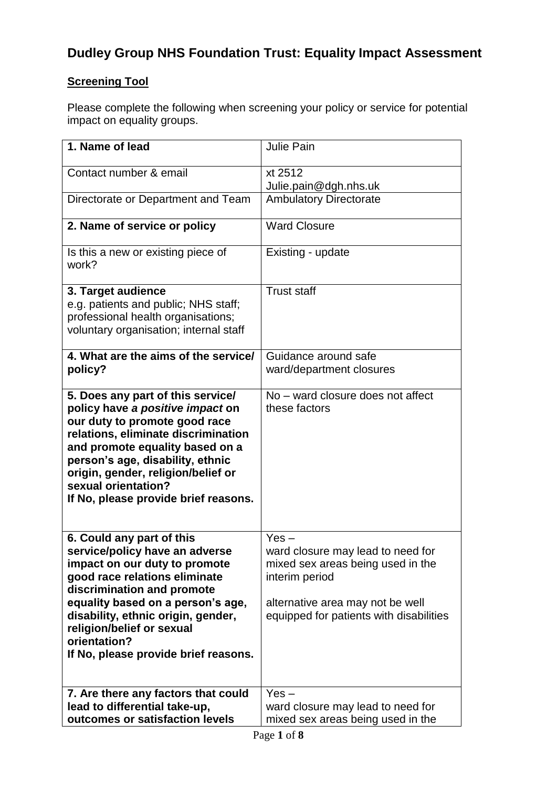## **Dudley Group NHS Foundation Trust: Equality Impact Assessment**

### **Screening Tool**

Please complete the following when screening your policy or service for potential impact on equality groups.

| 1. Name of lead                                                                                                                                                                                                                                                                                                             | <b>Julie Pain</b>                                                                                                                                                                  |
|-----------------------------------------------------------------------------------------------------------------------------------------------------------------------------------------------------------------------------------------------------------------------------------------------------------------------------|------------------------------------------------------------------------------------------------------------------------------------------------------------------------------------|
| Contact number & email                                                                                                                                                                                                                                                                                                      | xt 2512<br>Julie.pain@dgh.nhs.uk                                                                                                                                                   |
| Directorate or Department and Team                                                                                                                                                                                                                                                                                          | <b>Ambulatory Directorate</b>                                                                                                                                                      |
| 2. Name of service or policy                                                                                                                                                                                                                                                                                                | <b>Ward Closure</b>                                                                                                                                                                |
| Is this a new or existing piece of<br>work?                                                                                                                                                                                                                                                                                 | Existing - update                                                                                                                                                                  |
| 3. Target audience<br>e.g. patients and public; NHS staff;<br>professional health organisations;<br>voluntary organisation; internal staff                                                                                                                                                                                  | <b>Trust staff</b>                                                                                                                                                                 |
| 4. What are the aims of the service/<br>policy?                                                                                                                                                                                                                                                                             | Guidance around safe<br>ward/department closures                                                                                                                                   |
| 5. Does any part of this service/<br>policy have a positive impact on<br>our duty to promote good race<br>relations, eliminate discrimination<br>and promote equality based on a<br>person's age, disability, ethnic<br>origin, gender, religion/belief or<br>sexual orientation?<br>If No, please provide brief reasons.   | No – ward closure does not affect<br>these factors                                                                                                                                 |
| 6. Could any part of this<br>service/policy have an adverse<br>impact on our duty to promote<br>good race relations eliminate<br>discrimination and promote<br>equality based on a person's age,<br>disability, ethnic origin, gender,<br>religion/belief or sexual<br>orientation?<br>If No, please provide brief reasons. | $Yes -$<br>ward closure may lead to need for<br>mixed sex areas being used in the<br>interim period<br>alternative area may not be well<br>equipped for patients with disabilities |
| 7. Are there any factors that could<br>lead to differential take-up,<br>outcomes or satisfaction levels                                                                                                                                                                                                                     | $Yes -$<br>ward closure may lead to need for<br>mixed sex areas being used in the                                                                                                  |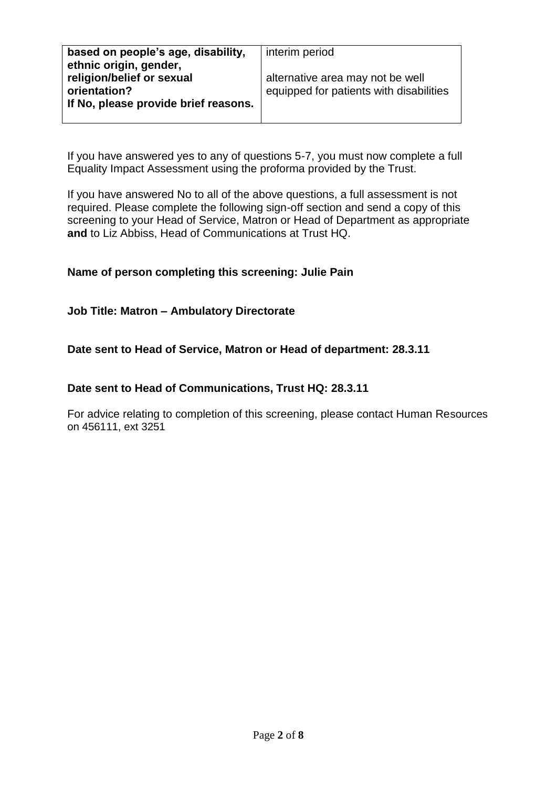| based on people's age, disability,   | interim period                          |
|--------------------------------------|-----------------------------------------|
| ethnic origin, gender,               |                                         |
| religion/belief or sexual            | alternative area may not be well        |
| orientation?                         | equipped for patients with disabilities |
| If No, please provide brief reasons. |                                         |
|                                      |                                         |

If you have answered yes to any of questions 5-7, you must now complete a full Equality Impact Assessment using the proforma provided by the Trust.

If you have answered No to all of the above questions, a full assessment is not required. Please complete the following sign-off section and send a copy of this screening to your Head of Service, Matron or Head of Department as appropriate **and** to Liz Abbiss, Head of Communications at Trust HQ.

#### **Name of person completing this screening: Julie Pain**

#### **Job Title: Matron – Ambulatory Directorate**

#### **Date sent to Head of Service, Matron or Head of department: 28.3.11**

#### **Date sent to Head of Communications, Trust HQ: 28.3.11**

For advice relating to completion of this screening, please contact Human Resources on 456111, ext 3251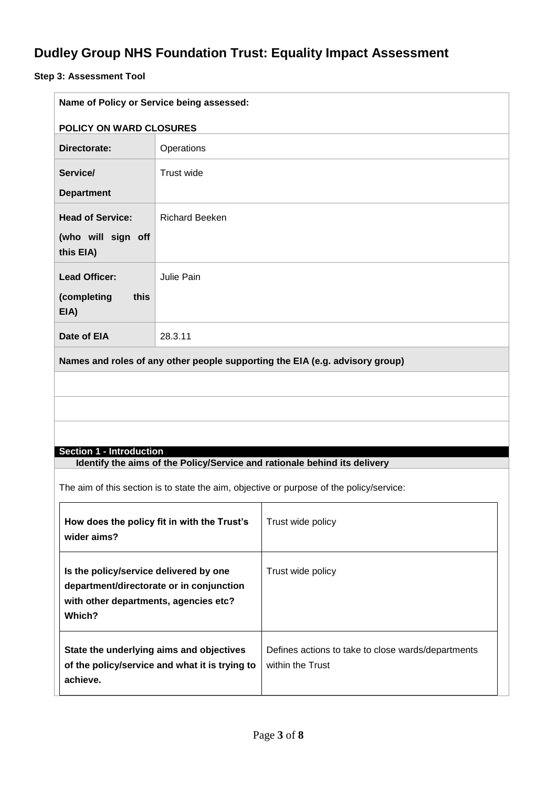# **Dudley Group NHS Foundation Trust: Equality Impact Assessment**

### **Step 3: Assessment Tool**

| Name of Policy or Service being assessed:                                                                    |                                                                                            |                                                                              |  |  |
|--------------------------------------------------------------------------------------------------------------|--------------------------------------------------------------------------------------------|------------------------------------------------------------------------------|--|--|
|                                                                                                              | <b>POLICY ON WARD CLOSURES</b>                                                             |                                                                              |  |  |
| Directorate:                                                                                                 | Operations                                                                                 |                                                                              |  |  |
| Service/                                                                                                     | Trust wide                                                                                 |                                                                              |  |  |
| <b>Department</b>                                                                                            |                                                                                            |                                                                              |  |  |
| <b>Head of Service:</b>                                                                                      | <b>Richard Beeken</b>                                                                      |                                                                              |  |  |
| (who will sign off<br>this EIA)                                                                              |                                                                                            |                                                                              |  |  |
| <b>Lead Officer:</b>                                                                                         | Julie Pain                                                                                 |                                                                              |  |  |
| (completing<br>this<br>EIA)                                                                                  |                                                                                            |                                                                              |  |  |
| Date of EIA                                                                                                  | 28.3.11                                                                                    |                                                                              |  |  |
|                                                                                                              |                                                                                            | Names and roles of any other people supporting the EIA (e.g. advisory group) |  |  |
|                                                                                                              |                                                                                            |                                                                              |  |  |
|                                                                                                              |                                                                                            |                                                                              |  |  |
|                                                                                                              |                                                                                            |                                                                              |  |  |
|                                                                                                              |                                                                                            |                                                                              |  |  |
| <b>Section 1 - Introduction</b><br>Identify the aims of the Policy/Service and rationale behind its delivery |                                                                                            |                                                                              |  |  |
| The aim of this section is to state the aim, objective or purpose of the policy/service:                     |                                                                                            |                                                                              |  |  |
| wider aims?                                                                                                  | How does the policy fit in with the Trust's                                                | Trust wide policy                                                            |  |  |
| Is the policy/service delivered by one<br>with other departments, agencies etc?<br>Which?                    | department/directorate or in conjunction                                                   | Trust wide policy                                                            |  |  |
| achieve.                                                                                                     | State the underlying aims and objectives<br>of the policy/service and what it is trying to | Defines actions to take to close wards/departments<br>within the Trust       |  |  |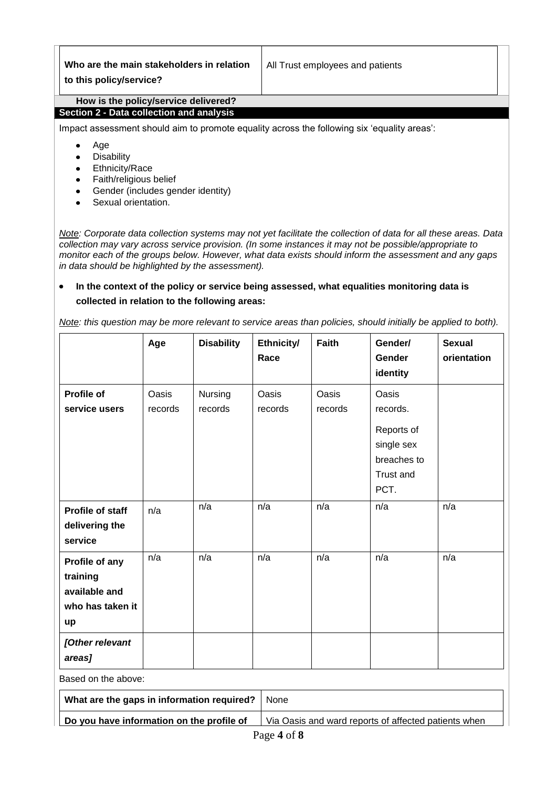|                                                                                             | Who are the main stakeholders in relation<br>to this policy/service? | All Trust employees and patients |  |  |  |
|---------------------------------------------------------------------------------------------|----------------------------------------------------------------------|----------------------------------|--|--|--|
|                                                                                             | How is the policy/service delivered?                                 |                                  |  |  |  |
| Section 2 - Data collection and analysis                                                    |                                                                      |                                  |  |  |  |
| Impact assessment should aim to promote equality across the following six 'equality areas': |                                                                      |                                  |  |  |  |
| Age                                                                                         |                                                                      |                                  |  |  |  |
|                                                                                             | <b>Disability</b>                                                    |                                  |  |  |  |
|                                                                                             | <b>Ethnicity/Race</b><br>٠                                           |                                  |  |  |  |
|                                                                                             | Faith/religious belief                                               |                                  |  |  |  |

- Gender (includes gender identity)
- Sexual orientation.

*Note: Corporate data collection systems may not yet facilitate the collection of data for all these areas. Data collection may vary across service provision. (In some instances it may not be possible/appropriate to monitor each of the groups below. However, what data exists should inform the assessment and any gaps in data should be highlighted by the assessment).* 

#### $\bullet$ **In the context of the policy or service being assessed, what equalities monitoring data is collected in relation to the following areas:**

*Note: this question may be more relevant to service areas than policies, should initially be applied to both).*

|                                                                       | Age              | <b>Disability</b>  | Ethnicity/<br>Race | <b>Faith</b>                                         | Gender/<br>Gender<br>identity                                             | <b>Sexual</b><br>orientation |
|-----------------------------------------------------------------------|------------------|--------------------|--------------------|------------------------------------------------------|---------------------------------------------------------------------------|------------------------------|
| <b>Profile of</b><br>service users                                    | Oasis<br>records | Nursing<br>records | Oasis<br>records   | Oasis<br>records                                     | Oasis<br>records.<br>Reports of<br>single sex<br>breaches to<br>Trust and |                              |
| Profile of staff<br>delivering the<br>service                         | n/a              | n/a                | n/a                | n/a                                                  | PCT.<br>n/a                                                               | n/a                          |
| Profile of any<br>training<br>available and<br>who has taken it<br>up | n/a              | n/a                | n/a                | n/a                                                  | n/a                                                                       | n/a                          |
| [Other relevant<br>areas]                                             |                  |                    |                    |                                                      |                                                                           |                              |
| Based on the above:                                                   |                  |                    |                    |                                                      |                                                                           |                              |
| What are the gaps in information required?                            |                  |                    | None               |                                                      |                                                                           |                              |
| Do you have information on the profile of                             |                  |                    |                    | Via Oasis and ward reports of affected patients when |                                                                           |                              |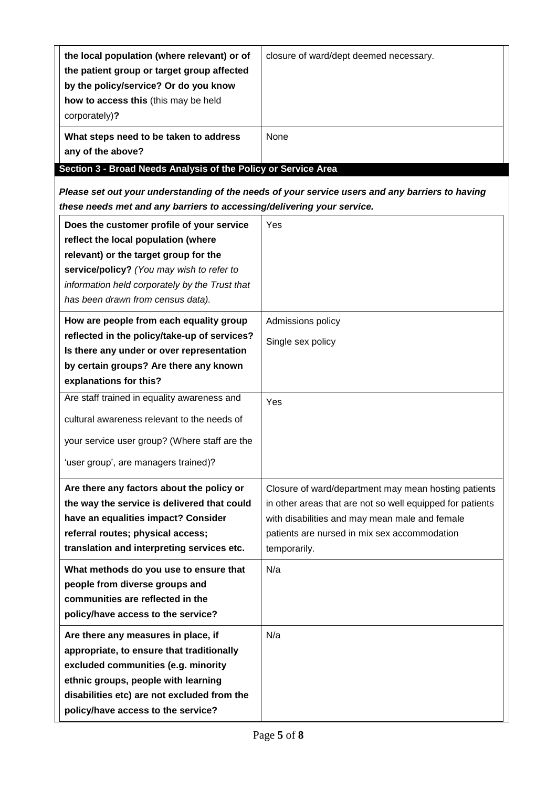| the local population (where relevant) or of<br>the patient group or target group affected<br>by the policy/service? Or do you know<br>how to access this (this may be held<br>corporately)? | closure of ward/dept deemed necessary. |  |
|---------------------------------------------------------------------------------------------------------------------------------------------------------------------------------------------|----------------------------------------|--|
| What steps need to be taken to address<br>any of the above?                                                                                                                                 | None                                   |  |
| Section 3 - Broad Needs Analysis of the Policy or Service Area                                                                                                                              |                                        |  |

*Please set out your understanding of the needs of your service users and any barriers to having these needs met and any barriers to accessing/delivering your service.* 

| Does the customer profile of your service<br>reflect the local population (where<br>relevant) or the target group for the<br>service/policy? (You may wish to refer to<br>information held corporately by the Trust that<br>has been drawn from census data).                                                                      | Yes                                                                                                                                                                                                                                        |
|------------------------------------------------------------------------------------------------------------------------------------------------------------------------------------------------------------------------------------------------------------------------------------------------------------------------------------|--------------------------------------------------------------------------------------------------------------------------------------------------------------------------------------------------------------------------------------------|
| How are people from each equality group<br>reflected in the policy/take-up of services?<br>Is there any under or over representation<br>by certain groups? Are there any known<br>explanations for this?                                                                                                                           | Admissions policy<br>Single sex policy                                                                                                                                                                                                     |
| Are staff trained in equality awareness and<br>cultural awareness relevant to the needs of<br>your service user group? (Where staff are the<br>'user group', are managers trained)?                                                                                                                                                | Yes                                                                                                                                                                                                                                        |
| Are there any factors about the policy or<br>the way the service is delivered that could<br>have an equalities impact? Consider<br>referral routes; physical access;<br>translation and interpreting services etc.<br>What methods do you use to ensure that<br>people from diverse groups and<br>communities are reflected in the | Closure of ward/department may mean hosting patients<br>in other areas that are not so well equipped for patients<br>with disabilities and may mean male and female<br>patients are nursed in mix sex accommodation<br>temporarily.<br>N/a |
| policy/have access to the service?<br>Are there any measures in place, if<br>appropriate, to ensure that traditionally<br>excluded communities (e.g. minority<br>ethnic groups, people with learning<br>disabilities etc) are not excluded from the<br>policy/have access to the service?                                          | N/a                                                                                                                                                                                                                                        |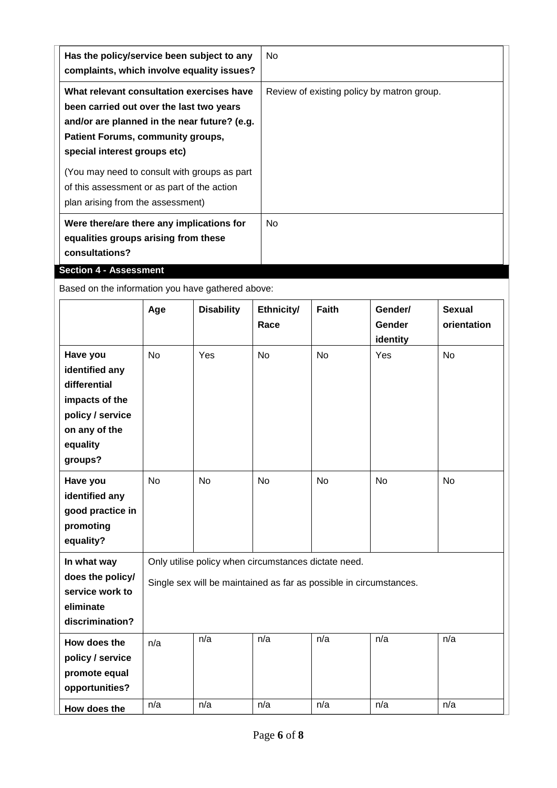| Has the policy/service been subject to any<br>complaints, which involve equality issues?                                                                                                                                                                                                                                                        | No.                                        |
|-------------------------------------------------------------------------------------------------------------------------------------------------------------------------------------------------------------------------------------------------------------------------------------------------------------------------------------------------|--------------------------------------------|
| What relevant consultation exercises have<br>been carried out over the last two years<br>and/or are planned in the near future? (e.g.<br>Patient Forums, community groups,<br>special interest groups etc)<br>(You may need to consult with groups as part)<br>of this assessment or as part of the action<br>plan arising from the assessment) | Review of existing policy by matron group. |
| Were there/are there any implications for<br>equalities groups arising from these<br>consultations?<br><b>Section 4 - Assessment</b>                                                                                                                                                                                                            | No.                                        |

Based on the information you have gathered above:

|                                                                                                                          | Age        | <b>Disability</b>                                                                                                          | Ethnicity/<br>Race | <b>Faith</b> | Gender/<br>Gender<br>identity | <b>Sexual</b><br>orientation |
|--------------------------------------------------------------------------------------------------------------------------|------------|----------------------------------------------------------------------------------------------------------------------------|--------------------|--------------|-------------------------------|------------------------------|
| Have you<br>identified any<br>differential<br>impacts of the<br>policy / service<br>on any of the<br>equality<br>groups? | <b>No</b>  | Yes                                                                                                                        | <b>No</b>          | <b>No</b>    | Yes                           | <b>No</b>                    |
| Have you<br>identified any<br>good practice in<br>promoting<br>equality?                                                 | <b>No</b>  | <b>No</b>                                                                                                                  | <b>No</b>          | <b>No</b>    | <b>No</b>                     | <b>No</b>                    |
| In what way<br>does the policy/<br>service work to<br>eliminate<br>discrimination?                                       |            | Only utilise policy when circumstances dictate need.<br>Single sex will be maintained as far as possible in circumstances. |                    |              |                               |                              |
| How does the<br>policy / service<br>promote equal<br>opportunities?                                                      | n/a<br>n/a | n/a<br>n/a                                                                                                                 | n/a<br>n/a         | n/a<br>n/a   | n/a<br>n/a                    | n/a<br>n/a                   |
| How does the                                                                                                             |            |                                                                                                                            |                    |              |                               |                              |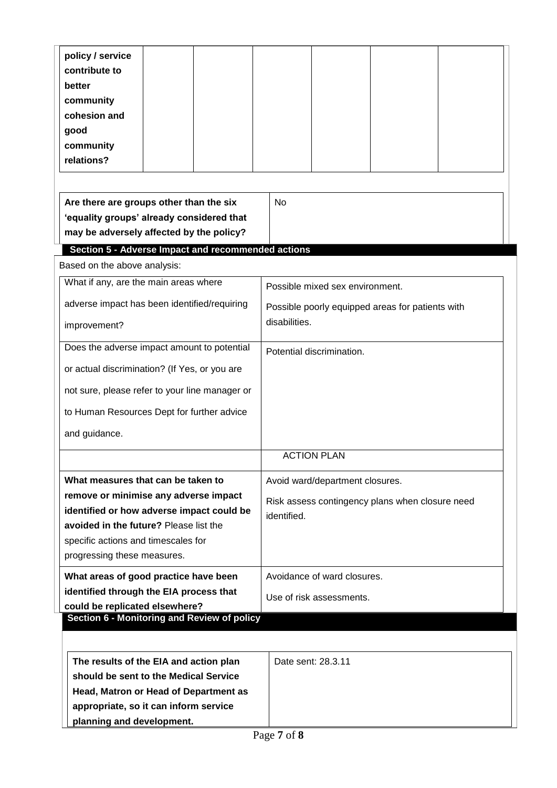| policy / service                                                              |                                                  |  |  |  |
|-------------------------------------------------------------------------------|--------------------------------------------------|--|--|--|
| contribute to                                                                 |                                                  |  |  |  |
| better                                                                        |                                                  |  |  |  |
| community                                                                     |                                                  |  |  |  |
| cohesion and                                                                  |                                                  |  |  |  |
| good                                                                          |                                                  |  |  |  |
| community<br>relations?                                                       |                                                  |  |  |  |
|                                                                               |                                                  |  |  |  |
|                                                                               |                                                  |  |  |  |
| Are there are groups other than the six                                       | <b>No</b>                                        |  |  |  |
| 'equality groups' already considered that                                     |                                                  |  |  |  |
| may be adversely affected by the policy?                                      |                                                  |  |  |  |
| <b>Section 5 - Adverse Impact and recommended actions</b>                     |                                                  |  |  |  |
| Based on the above analysis:                                                  |                                                  |  |  |  |
| What if any, are the main areas where                                         | Possible mixed sex environment.                  |  |  |  |
| adverse impact has been identified/requiring                                  | Possible poorly equipped areas for patients with |  |  |  |
|                                                                               | disabilities.                                    |  |  |  |
| improvement?                                                                  |                                                  |  |  |  |
| Does the adverse impact amount to potential                                   | Potential discrimination.                        |  |  |  |
| or actual discrimination? (If Yes, or you are                                 |                                                  |  |  |  |
|                                                                               |                                                  |  |  |  |
| not sure, please refer to your line manager or                                |                                                  |  |  |  |
| to Human Resources Dept for further advice                                    |                                                  |  |  |  |
| and guidance.                                                                 |                                                  |  |  |  |
|                                                                               | <b>ACTION PLAN</b>                               |  |  |  |
|                                                                               |                                                  |  |  |  |
| What measures that can be taken to                                            | Avoid ward/department closures.                  |  |  |  |
| remove or minimise any adverse impact                                         | Risk assess contingency plans when closure need  |  |  |  |
| identified or how adverse impact could be                                     | identified.                                      |  |  |  |
| avoided in the future? Please list the                                        |                                                  |  |  |  |
| specific actions and timescales for                                           |                                                  |  |  |  |
| progressing these measures.                                                   |                                                  |  |  |  |
| What areas of good practice have been                                         | Avoidance of ward closures.                      |  |  |  |
| identified through the EIA process that                                       | Use of risk assessments.                         |  |  |  |
| could be replicated elsewhere?<br>Section 6 - Monitoring and Review of policy |                                                  |  |  |  |
|                                                                               |                                                  |  |  |  |
|                                                                               |                                                  |  |  |  |
| The results of the EIA and action plan                                        | Date sent: 28.3.11                               |  |  |  |
| should be sent to the Medical Service                                         |                                                  |  |  |  |
| Head, Matron or Head of Department as                                         |                                                  |  |  |  |
| appropriate, so it can inform service                                         |                                                  |  |  |  |
| planning and development.                                                     |                                                  |  |  |  |